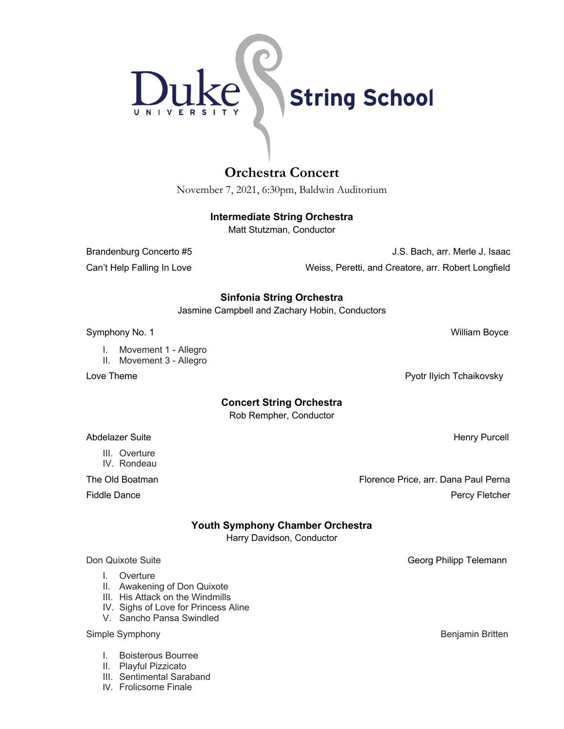

# **Orchestra Concert**

November 7, 2021, 6:30pm, Baldwin Auditorium

## **Intermediate String Orchestra**

Matt Stutzman, Conductor

Brandenburg Concerto #5 J.S. Bach, arr. Merle J. Isaac Can't Help Falling In Love Weiss, Peretti, and Creatore, arr. Robert Longfield

## **Sinfonia String Orchestra**

Jasmine Campbell and Zachary Hobin, Conductors

Symphony No. 1 No. 2 | William Boyce No. 2 | William Boyce No. 2 | William Boyce No. 2 | William Boyce No. 2 | William Boyce No. 2 | William Boyce No. 2 | William Boyce No. 2 | William Boyce No. 2 | William Boyce No. 2 | W

- I. Movement 1 Allegro
- II. Movement 3 Allegro

## **Concert String Orchestra**

Rob Rempher, Conductor

Abdelazer Suite **Henry Purcell** 

The Old Boatman Florence Price, arr. Dana Paul Perna Fiddle Dance **Percy Fletcher** Percy Fletcher **Percy Fletcher** Percy Fletcher

## **Youth Symphony Chamber Orchestra**

Harry Davidson, Conductor

### Don Quixote Suite Georg Philipp Telemann

I. Overture

III. Overture IV. Rondeau

- II. Awakening of Don Quixote
- III. His Attack on the Windmills
- IV. Sighs of Love for Princess Aline
- V. Sancho Pansa Swindled

### Simple Symphony **Benjamin Britten**

- I. Boisterous Bourree
- II. Playful Pizzicato
- III. Sentimental Saraband
- IV. Frolicsome Finale

Love Theme **Pyotr Ilyich Tchaikovsky**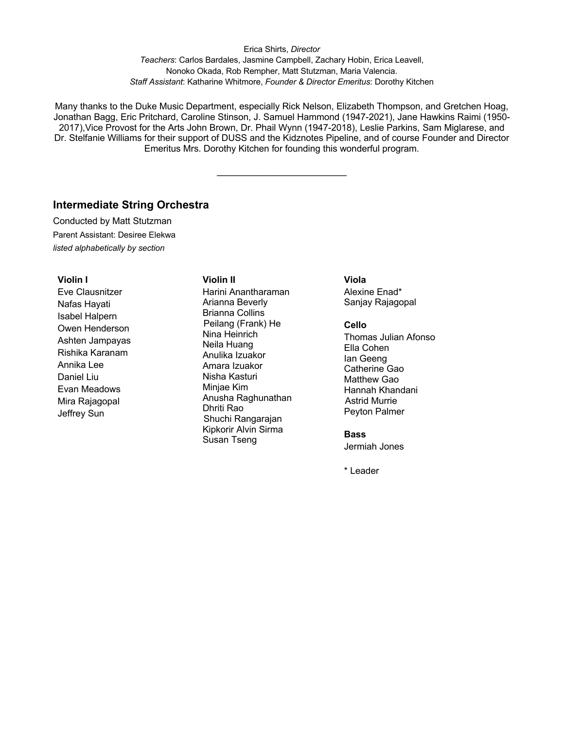Erica Shirts, *Director Teachers*: Carlos Bardales, Jasmine Campbell, Zachary Hobin, Erica Leavell, Nonoko Okada, Rob Rempher, Matt Stutzman, Maria Valencia. *Staff Assistant*: Katharine Whitmore, *Founder & Director Emeritus*: Dorothy Kitchen

Many thanks to the Duke Music Department, especially Rick Nelson, Elizabeth Thompson, and Gretchen Hoag, Jonathan Bagg, Eric Pritchard, Caroline Stinson, J. Samuel Hammond (1947-2021), Jane Hawkins Raimi (1950- 2017),Vice Provost for the Arts John Brown, Dr. Phail Wynn (1947-2018), Leslie Parkins, Sam Miglarese, and Dr. Stelfanie Williams for their support of DUSS and the Kidznotes Pipeline, and of course Founder and Director Emeritus Mrs. Dorothy Kitchen for founding this wonderful program.

 $\frac{1}{2}$  , where  $\frac{1}{2}$  , where  $\frac{1}{2}$  , where  $\frac{1}{2}$ 

## **Intermediate String Orchestra**

Conducted by Matt Stutzman Parent Assistant: Desiree Elekwa *listed alphabetically by section*

#### **Violin I**

Eve Clausnitzer Nafas Hayati Isabel Halpern Owen Henderson Ashten Jampayas Rishika Karanam Annika Lee Daniel Liu Evan Meadows Mira Rajagopal Jeffrey Sun

### **Violin II**

Harini Anantharaman Arianna Beverly Brianna Collins Peilang (Frank) He Nina Heinrich Neila Huang Anulika Izuakor Amara Izuakor Nisha Kasturi Minjae Kim Anusha Raghunathan Dhriti Rao Shuchi Rangarajan Kipkorir Alvin Sirma Susan Tseng

### **Viola**

Alexine Enad\* Sanjay Rajagopal

### **Cello**

Thomas Julian Afonso Ella Cohen Ian Geeng Catherine Gao Matthew Gao Hannah Khandani Astrid Murrie Peyton Palmer

#### **Bass**

Jermiah Jones

\* Leader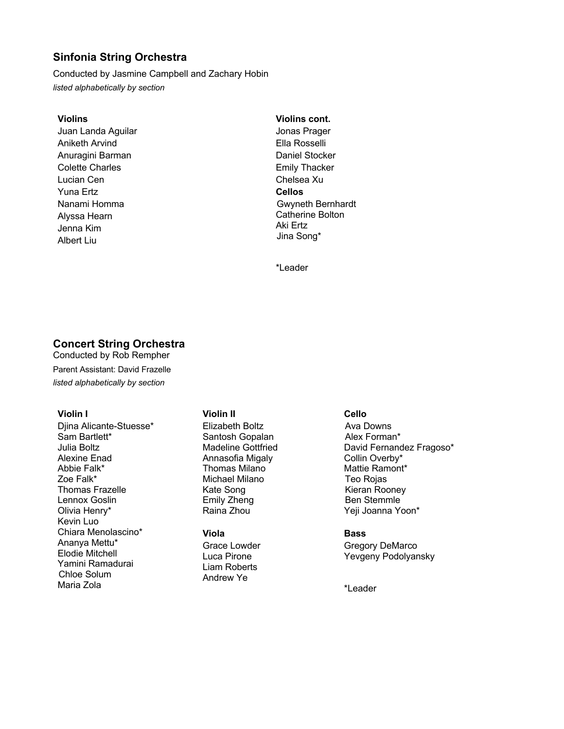## **Sinfonia String Orchestra**

Conducted by Jasmine Campbell and Zachary Hobin *listed alphabetically by section*

### **Violins**

Juan Landa Aguilar Aniketh Arvind Anuragini Barman Colette Charles Lucian Cen Yuna Ertz Nanami Homma Alyssa Hearn Jenna Kim Albert Liu

## **Violins cont.**

Jonas Prager Ella Rosselli Daniel Stocker Emily Thacker Chelsea Xu **Cellos** Gwyneth Bernhardt Catherine Bolton Aki Ertz Jina Song\*

\*Leader

### **Concert String Orchestra** Conducted by Rob Rempher

Parent Assistant: David Frazelle *listed alphabetically by section*

### **Violin I**

Djina Alicante-Stuesse\* Sam Bartlett\* Julia Boltz Alexine Enad Abbie Falk\* Zoe Falk\* Thomas Frazelle Lennox Goslin Olivia Henry\* Kevin Luo Chiara Menolascino\* Ananya Mettu\* Elodie Mitchell Yamini Ramadurai Chloe Solum Maria Zola

### **Violin II**

Elizabeth Boltz Santosh Gopalan Madeline Gottfried Annasofia Migaly Thomas Milano Michael Milano Kate Song Emily Zheng Raina Zhou

### **Viola** Grace Lowder Luca Pirone Liam Roberts Andrew Ye

### **Cello**

Ava Downs Alex Forman\* David Fernandez Fragoso\* Collin Overby\* Mattie Ramont\* Teo Rojas Kieran Rooney Ben Stemmle Yeji Joanna Yoon\*

### **Bass**

Gregory DeMarco Yevgeny Podolyansky

\*Leader